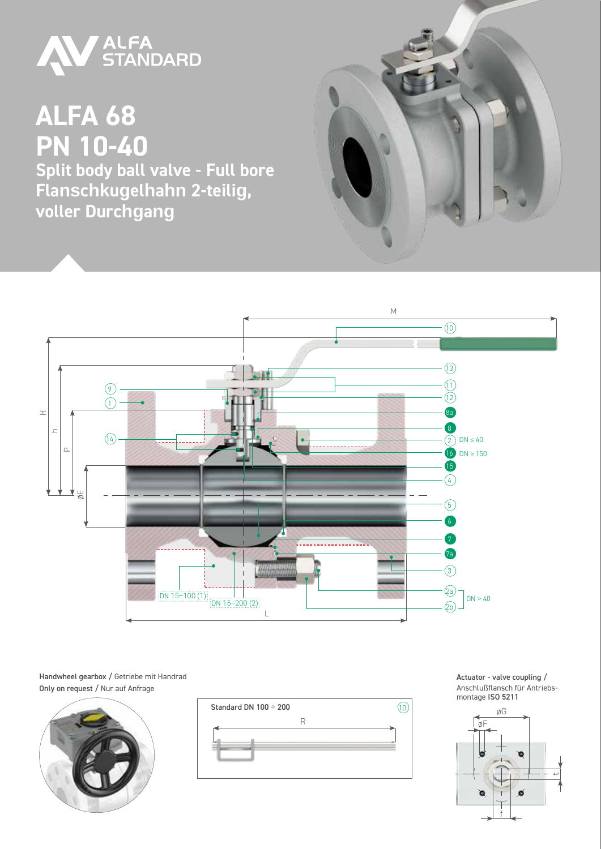

**ALFA 68 PN 10-40 Split body ball valve - Full bore Flanschkugelhahn 2-teilig, voller Durchgang**





Handwheel gearbox / Getriebe mit Handrad Only on request / Nur auf Anfrage





Actuator - valve coupling / Anschlußflansch für Antriebsmontage ISO 5211